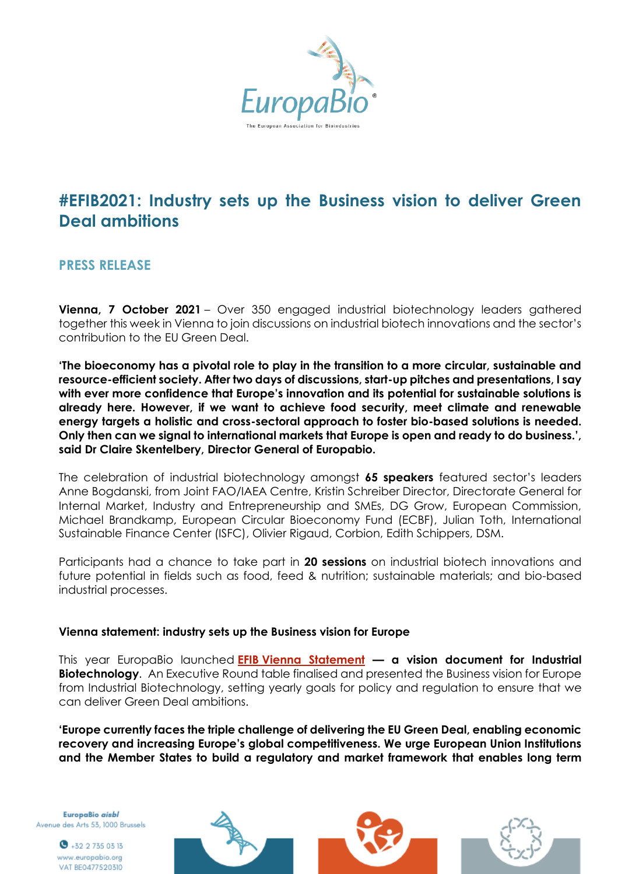

# **#EFIB2021: Industry sets up the Business vision to deliver Green Deal ambitions**

# **PRESS RELEASE**

**Vienna, 7 October 2021** – Over 350 engaged industrial biotechnology leaders gathered together this week in Vienna to join discussions on industrial biotech innovations and the sector's contribution to the EU Green Deal.

**'The bioeconomy has a pivotal role to play in the transition to a more circular, sustainable and resource-efficient society. After two days of discussions, start-up pitches and presentations, I say with ever more confidence that Europe's innovation and its potential for sustainable solutions is already here. However, if we want to achieve food security, meet climate and renewable energy targets a holistic and cross-sectoral approach to foster bio-based solutions is needed. Only then can we signal to international markets that Europe is open and ready to do business.', said Dr Claire Skentelbery, Director General of Europabio.** 

The celebration of industrial biotechnology amongst **65 speakers** featured sector's leaders Anne Bogdanski, from Joint FAO/IAEA Centre, Kristin Schreiber Director, Directorate General for Internal Market, Industry and Entrepreneurship and SMEs, DG Grow, European Commission, Michael Brandkamp, European Circular Bioeconomy Fund (ECBF), Julian Toth, International Sustainable Finance Center (ISFC), Olivier Rigaud, Corbion, Edith Schippers, DSM.

Participants had a chance to take part in **20 sessions** on industrial biotech innovations and future potential in fields such as food, feed & nutrition; sustainable materials; and bio-based industrial processes.

#### **Vienna statement: industry sets up the Business vision for Europe**

This year EuropaBio launched **EFIB [Vienna Statement](https://www.europabio.org/efib2021-industrial-biotechnology-in-the-business-spotlight-for-eu-green-deal-2/) — a vision document for Industrial Biotechnology**. An Executive Round table finalised and presented the Business vision for Europe from Industrial Biotechnology, setting yearly goals for policy and regulation to ensure that we can deliver Green Deal ambitions.

**'Europe currently faces the triple challenge of delivering the EU Green Deal, enabling economic recovery and increasing Europe's global competitiveness. We urge European Union Institutions and the Member States to build a regulatory and market framework that enables long term** 

EuropaBio aisbl Avenue des Arts 53, 1000 Brussels

> $\bullet$  +32 2 735 03 13 www.europabio.org VAT BE0477520310

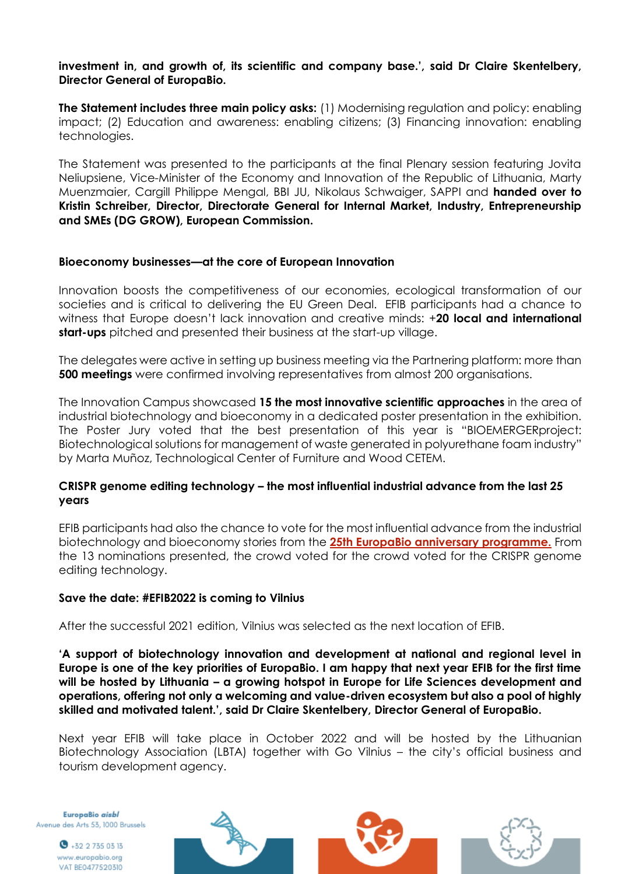## **investment in, and growth of, its scientific and company base.', said Dr Claire Skentelbery, Director General of EuropaBio.**

**The Statement includes three main policy asks:** (1) Modernising regulation and policy: enabling impact; (2) Education and awareness: enabling citizens; (3) Financing innovation: enabling technologies.

The Statement was presented to the participants at the final Plenary session featuring Jovita Neliupsiene, Vice-Minister of the Economy and Innovation of the Republic of Lithuania, Marty Muenzmaier, Cargill Philippe Mengal, BBI JU, Nikolaus Schwaiger, SAPPI and **handed over to Kristin Schreiber, Director, Directorate General for Internal Market, Industry, Entrepreneurship and SMEs (DG GROW), European Commission.**

## **Bioeconomy businesses—at the core of European Innovation**

Innovation boosts the competitiveness of our economies, ecological transformation of our societies and is critical to delivering the EU Green Deal. EFIB participants had a chance to witness that Europe doesn't lack innovation and creative minds: +**20 local and international start-ups** pitched and presented their business at the start-up village.

The delegates were active in setting up business meeting via the Partnering platform: more than **500 meetings** were confirmed involving representatives from almost 200 organisations.

The Innovation Campus showcased **15 the most innovative scientific approaches** in the area of industrial biotechnology and bioeconomy in a dedicated poster presentation in the exhibition. The Poster Jury voted that the best presentation of this year is "BIOEMERGERproject: Biotechnological solutions for management of waste generated in polyurethane foam industry" by Marta Muñoz, Technological Center of Furniture and Wood CETEM.

## **CRISPR genome editing technology – the most influential industrial advance from the last 25 years**

EFIB participants had also the chance to vote for the most influential advance from the industrial biotechnology and bioeconomy stories from the **[25th EuropaBio anniversary programme.](https://europabio25.org/25-years-of-innovation/)** From the 13 nominations presented, the crowd voted for the crowd voted for the CRISPR genome editing technology.

#### **Save the date: #EFIB2022 is coming to Vilnius**

After the successful 2021 edition, Vilnius was selected as the next location of EFIB.

**'A support of biotechnology innovation and development at national and regional level in Europe is one of the key priorities of EuropaBio. I am happy that next year EFIB for the first time will be hosted by Lithuania – a growing hotspot in Europe for Life Sciences development and operations, offering not only a welcoming and value-driven ecosystem but also a pool of highly skilled and motivated talent.', said Dr Claire Skentelbery, Director General of EuropaBio.** 

Next year EFIB will take place in October 2022 and will be hosted by the Lithuanian Biotechnology Association (LBTA) together with Go Vilnius – the city's official business and tourism development agency.

EuropaBio aisbl Avenue des Arts 53, 1000 Brussels

> $\bullet$  +32 2 735 03 13 www.europabio.org VAT BE0477520310